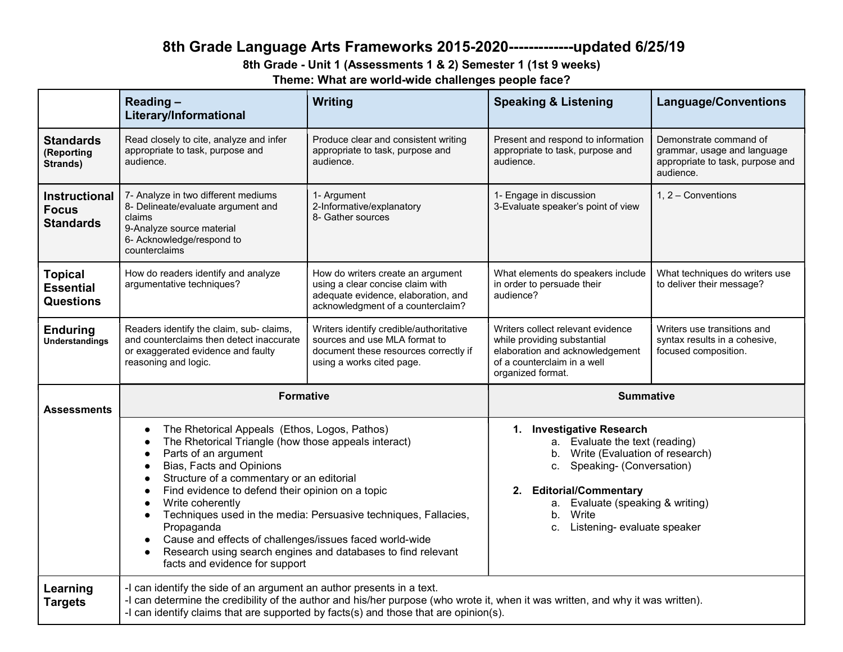# 8th Grade Language Arts Frameworks 2015-2020-------------updated 6/25/19

8th Grade - Unit 1 (Assessments 1 & 2) Semester 1 (1st 9 weeks)

Theme: What are world-wide challenges people face?

|                                                          | Reading-<br>Literary/Informational                                                                                                                                                                                                                                                                                                                                                                                                                                                                                                                                                                                      | <b>Writing</b>                                                                                                                                    | <b>Speaking &amp; Listening</b>                                                                                                                                                                                                                              | <b>Language/Conventions</b>                                                                            |
|----------------------------------------------------------|-------------------------------------------------------------------------------------------------------------------------------------------------------------------------------------------------------------------------------------------------------------------------------------------------------------------------------------------------------------------------------------------------------------------------------------------------------------------------------------------------------------------------------------------------------------------------------------------------------------------------|---------------------------------------------------------------------------------------------------------------------------------------------------|--------------------------------------------------------------------------------------------------------------------------------------------------------------------------------------------------------------------------------------------------------------|--------------------------------------------------------------------------------------------------------|
| <b>Standards</b><br>(Reporting<br>Strands)               | Read closely to cite, analyze and infer<br>appropriate to task, purpose and<br>audience.                                                                                                                                                                                                                                                                                                                                                                                                                                                                                                                                | Produce clear and consistent writing<br>appropriate to task, purpose and<br>audience.                                                             | Present and respond to information<br>appropriate to task, purpose and<br>audience.                                                                                                                                                                          | Demonstrate command of<br>grammar, usage and language<br>appropriate to task, purpose and<br>audience. |
| <b>Instructional</b><br><b>Focus</b><br><b>Standards</b> | 7- Analyze in two different mediums<br>8- Delineate/evaluate argument and<br>claims<br>9-Analyze source material<br>6- Acknowledge/respond to<br>counterclaims                                                                                                                                                                                                                                                                                                                                                                                                                                                          | 1- Argument<br>2-Informative/explanatory<br>8- Gather sources                                                                                     | 1- Engage in discussion<br>3-Evaluate speaker's point of view                                                                                                                                                                                                | 1, 2 - Conventions                                                                                     |
| <b>Topical</b><br><b>Essential</b><br><b>Questions</b>   | How do readers identify and analyze<br>argumentative techniques?                                                                                                                                                                                                                                                                                                                                                                                                                                                                                                                                                        | How do writers create an argument<br>using a clear concise claim with<br>adequate evidence, elaboration, and<br>acknowledgment of a counterclaim? | What elements do speakers include<br>in order to persuade their<br>audience?                                                                                                                                                                                 | What techniques do writers use<br>to deliver their message?                                            |
| <b>Enduring</b><br><b>Understandings</b>                 | Readers identify the claim, sub- claims,<br>and counterclaims then detect inaccurate<br>or exaggerated evidence and faulty<br>reasoning and logic.                                                                                                                                                                                                                                                                                                                                                                                                                                                                      | Writers identify credible/authoritative<br>sources and use MLA format to<br>document these resources correctly if<br>using a works cited page.    | Writers collect relevant evidence<br>while providing substantial<br>elaboration and acknowledgement<br>of a counterclaim in a well<br>organized format.                                                                                                      | Writers use transitions and<br>syntax results in a cohesive.<br>focused composition.                   |
| Assessments                                              | <b>Formative</b>                                                                                                                                                                                                                                                                                                                                                                                                                                                                                                                                                                                                        |                                                                                                                                                   | <b>Summative</b>                                                                                                                                                                                                                                             |                                                                                                        |
|                                                          | The Rhetorical Appeals (Ethos, Logos, Pathos)<br>$\bullet$<br>The Rhetorical Triangle (how those appeals interact)<br>Parts of an argument<br>$\bullet$<br>Bias, Facts and Opinions<br>$\bullet$<br>Structure of a commentary or an editorial<br>$\bullet$<br>Find evidence to defend their opinion on a topic<br>$\bullet$<br>Write coherently<br>$\bullet$<br>Techniques used in the media: Persuasive techniques, Fallacies,<br>$\bullet$<br>Propaganda<br>Cause and effects of challenges/issues faced world-wide<br>Research using search engines and databases to find relevant<br>facts and evidence for support |                                                                                                                                                   | 1. Investigative Research<br>a. Evaluate the text (reading)<br>b. Write (Evaluation of research)<br>c. Speaking- (Conversation)<br><b>Editorial/Commentary</b><br>2.<br>a. Evaluate (speaking & writing)<br>Write<br>b.<br>Listening- evaluate speaker<br>c. |                                                                                                        |
| Learning<br><b>Targets</b>                               | -I can identify the side of an argument an author presents in a text.<br>-I can determine the credibility of the author and his/her purpose (who wrote it, when it was written, and why it was written).<br>-I can identify claims that are supported by facts(s) and those that are opinion(s).                                                                                                                                                                                                                                                                                                                        |                                                                                                                                                   |                                                                                                                                                                                                                                                              |                                                                                                        |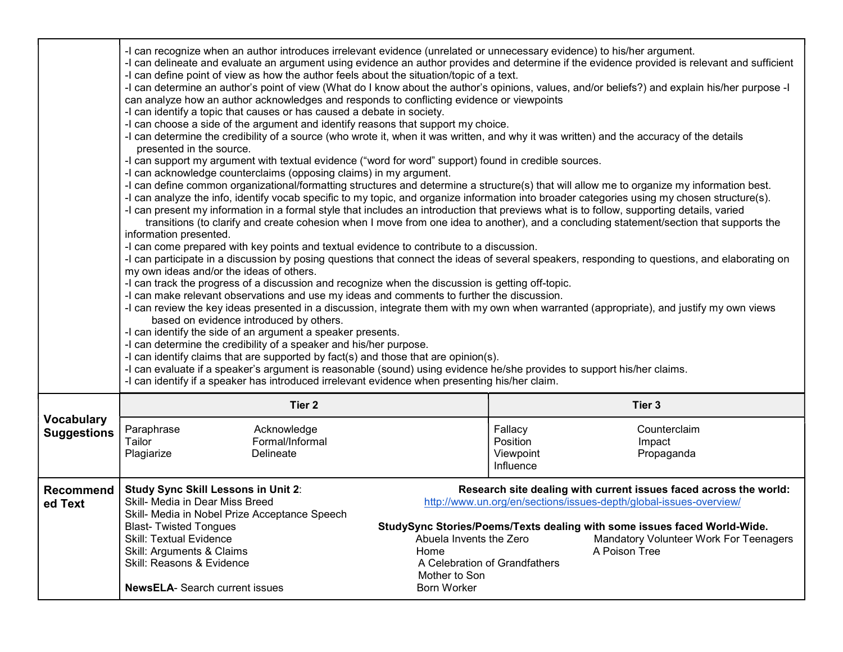|                                         | presented in the source.<br>information presented.<br>my own ideas and/or the ideas of others.<br>based on evidence introduced by others.<br>-I can identify claims that are supported by fact(s) and those that are opinion(s).<br>-I can evaluate if a speaker's argument is reasonable (sound) using evidence he/she provides to support his/her claims.<br>-I can identify if a speaker has introduced irrelevant evidence when presenting his/her claim.                                                                                                                                                                                                                             |  | -I can recognize when an author introduces irrelevant evidence (unrelated or unnecessary evidence) to his/her argument.<br>-I can delineate and evaluate an argument using evidence an author provides and determine if the evidence provided is relevant and sufficient<br>-I can define point of view as how the author feels about the situation/topic of a text.<br>-I can determine an author's point of view (What do I know about the author's opinions, values, and/or beliefs?) and explain his/her purpose -I<br>can analyze how an author acknowledges and responds to conflicting evidence or viewpoints<br>-I can identify a topic that causes or has caused a debate in society.<br>-I can choose a side of the argument and identify reasons that support my choice.<br>-I can determine the credibility of a source (who wrote it, when it was written, and why it was written) and the accuracy of the details<br>-I can support my argument with textual evidence ("word for word" support) found in credible sources.<br>-I can acknowledge counterclaims (opposing claims) in my argument.<br>-I can define common organizational/formatting structures and determine a structure(s) that will allow me to organize my information best.<br>-I can analyze the info, identify vocab specific to my topic, and organize information into broader categories using my chosen structure(s).<br>-I can present my information in a formal style that includes an introduction that previews what is to follow, supporting details, varied<br>transitions (to clarify and create cohesion when I move from one idea to another), and a concluding statement/section that supports the<br>-I can come prepared with key points and textual evidence to contribute to a discussion.<br>-I can participate in a discussion by posing questions that connect the ideas of several speakers, responding to questions, and elaborating on<br>-I can track the progress of a discussion and recognize when the discussion is getting off-topic.<br>-I can make relevant observations and use my ideas and comments to further the discussion.<br>-I can review the key ideas presented in a discussion, integrate them with my own when warranted (appropriate), and justify my own views<br>-I can identify the side of an argument a speaker presents.<br>-I can determine the credibility of a speaker and his/her purpose. |  |  |  |
|-----------------------------------------|-------------------------------------------------------------------------------------------------------------------------------------------------------------------------------------------------------------------------------------------------------------------------------------------------------------------------------------------------------------------------------------------------------------------------------------------------------------------------------------------------------------------------------------------------------------------------------------------------------------------------------------------------------------------------------------------|--|----------------------------------------------------------------------------------------------------------------------------------------------------------------------------------------------------------------------------------------------------------------------------------------------------------------------------------------------------------------------------------------------------------------------------------------------------------------------------------------------------------------------------------------------------------------------------------------------------------------------------------------------------------------------------------------------------------------------------------------------------------------------------------------------------------------------------------------------------------------------------------------------------------------------------------------------------------------------------------------------------------------------------------------------------------------------------------------------------------------------------------------------------------------------------------------------------------------------------------------------------------------------------------------------------------------------------------------------------------------------------------------------------------------------------------------------------------------------------------------------------------------------------------------------------------------------------------------------------------------------------------------------------------------------------------------------------------------------------------------------------------------------------------------------------------------------------------------------------------------------------------------------------------------------------------------------------------------------------------------------------------------------------------------------------------------------------------------------------------------------------------------------------------------------------------------------------------------------------------------------------------------------------------------------------------------------------------------------------------------------------------------------------------------------------------------|--|--|--|
|                                         | Tier <sub>2</sub>                                                                                                                                                                                                                                                                                                                                                                                                                                                                                                                                                                                                                                                                         |  | Tier 3                                                                                                                                                                                                                                                                                                                                                                                                                                                                                                                                                                                                                                                                                                                                                                                                                                                                                                                                                                                                                                                                                                                                                                                                                                                                                                                                                                                                                                                                                                                                                                                                                                                                                                                                                                                                                                                                                                                                                                                                                                                                                                                                                                                                                                                                                                                                                                                                                                 |  |  |  |
| <b>Vocabulary</b><br><b>Suggestions</b> | Acknowledge<br>Paraphrase<br>Formal/Informal<br>Tailor<br>Plagiarize<br>Delineate                                                                                                                                                                                                                                                                                                                                                                                                                                                                                                                                                                                                         |  | Fallacy<br>Counterclaim<br>Position<br>Impact<br>Viewpoint<br>Propaganda<br>Influence                                                                                                                                                                                                                                                                                                                                                                                                                                                                                                                                                                                                                                                                                                                                                                                                                                                                                                                                                                                                                                                                                                                                                                                                                                                                                                                                                                                                                                                                                                                                                                                                                                                                                                                                                                                                                                                                                                                                                                                                                                                                                                                                                                                                                                                                                                                                                  |  |  |  |
| <b>Recommend</b><br>ed Text             | Research site dealing with current issues faced across the world:<br><b>Study Sync Skill Lessons in Unit 2:</b><br>Skill- Media in Dear Miss Breed<br>http://www.un.org/en/sections/issues-depth/global-issues-overview/<br>Skill- Media in Nobel Prize Acceptance Speech<br>StudySync Stories/Poems/Texts dealing with some issues faced World-Wide.<br><b>Blast-Twisted Tongues</b><br>Skill: Textual Evidence<br>Abuela Invents the Zero<br>Mandatory Volunteer Work For Teenagers<br>Skill: Arguments & Claims<br>A Poison Tree<br>Home<br>Skill: Reasons & Evidence<br>A Celebration of Grandfathers<br>Mother to Son<br><b>NewsELA- Search current issues</b><br><b>Born Worker</b> |  |                                                                                                                                                                                                                                                                                                                                                                                                                                                                                                                                                                                                                                                                                                                                                                                                                                                                                                                                                                                                                                                                                                                                                                                                                                                                                                                                                                                                                                                                                                                                                                                                                                                                                                                                                                                                                                                                                                                                                                                                                                                                                                                                                                                                                                                                                                                                                                                                                                        |  |  |  |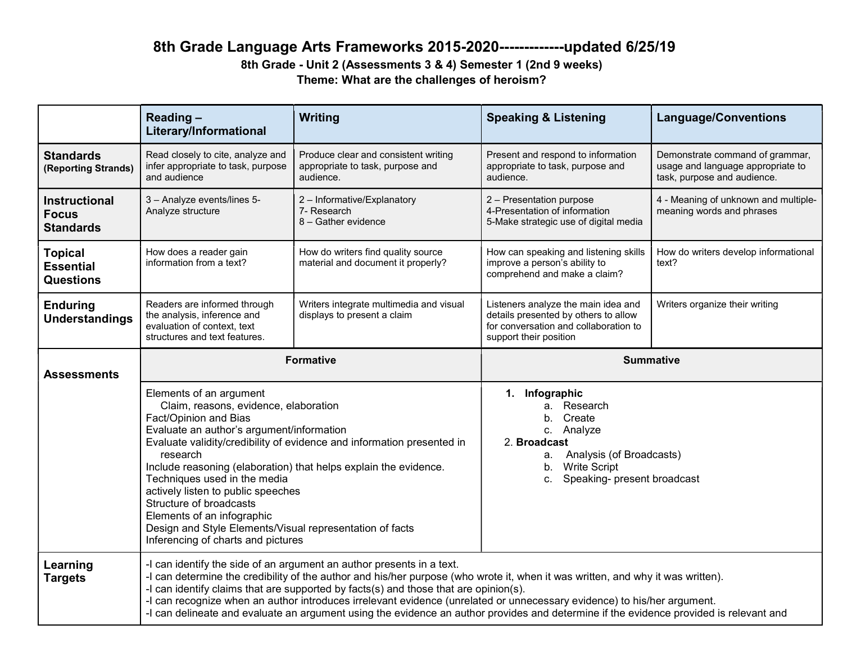# 8th Grade Language Arts Frameworks 2015-2020-------------updated 6/25/19

8th Grade - Unit 2 (Assessments 3 & 4) Semester 1 (2nd 9 weeks) Theme: What are the challenges of heroism?

|                                                          | Reading-<br>Literary/Informational                                                                                                                                                                                                                                                                                                                                                                                                                                                                                                                                    | Writing                                                                               | <b>Speaking &amp; Listening</b>                                                                                                                                              | <b>Language/Conventions</b>                                                                         |
|----------------------------------------------------------|-----------------------------------------------------------------------------------------------------------------------------------------------------------------------------------------------------------------------------------------------------------------------------------------------------------------------------------------------------------------------------------------------------------------------------------------------------------------------------------------------------------------------------------------------------------------------|---------------------------------------------------------------------------------------|------------------------------------------------------------------------------------------------------------------------------------------------------------------------------|-----------------------------------------------------------------------------------------------------|
| <b>Standards</b><br>(Reporting Strands)                  | Read closely to cite, analyze and<br>infer appropriate to task, purpose<br>and audience                                                                                                                                                                                                                                                                                                                                                                                                                                                                               | Produce clear and consistent writing<br>appropriate to task, purpose and<br>audience. | Present and respond to information<br>appropriate to task, purpose and<br>audience.                                                                                          | Demonstrate command of grammar,<br>usage and language appropriate to<br>task, purpose and audience. |
| <b>Instructional</b><br><b>Focus</b><br><b>Standards</b> | 3 - Analyze events/lines 5-<br>Analyze structure                                                                                                                                                                                                                                                                                                                                                                                                                                                                                                                      | 2 - Informative/Explanatory<br>7- Research<br>8 - Gather evidence                     | 2 - Presentation purpose<br>4-Presentation of information<br>5-Make strategic use of digital media                                                                           | 4 - Meaning of unknown and multiple-<br>meaning words and phrases                                   |
| <b>Topical</b><br><b>Essential</b><br><b>Questions</b>   | How does a reader gain<br>information from a text?                                                                                                                                                                                                                                                                                                                                                                                                                                                                                                                    | How do writers find quality source<br>material and document it properly?              | How can speaking and listening skills<br>improve a person's ability to<br>comprehend and make a claim?                                                                       | How do writers develop informational<br>text?                                                       |
| <b>Enduring</b><br><b>Understandings</b>                 | Readers are informed through<br>the analysis, inference and<br>evaluation of context, text<br>structures and text features.                                                                                                                                                                                                                                                                                                                                                                                                                                           | Writers integrate multimedia and visual<br>displays to present a claim                | Listeners analyze the main idea and<br>details presented by others to allow<br>for conversation and collaboration to<br>support their position                               | Writers organize their writing                                                                      |
| <b>Assessments</b>                                       | <b>Formative</b>                                                                                                                                                                                                                                                                                                                                                                                                                                                                                                                                                      |                                                                                       | <b>Summative</b>                                                                                                                                                             |                                                                                                     |
|                                                          | Elements of an argument<br>Claim, reasons, evidence, elaboration<br>Fact/Opinion and Bias<br>Evaluate an author's argument/information<br>Evaluate validity/credibility of evidence and information presented in<br>research<br>Include reasoning (elaboration) that helps explain the evidence.<br>Techniques used in the media<br>actively listen to public speeches<br>Structure of broadcasts<br>Elements of an infographic<br>Design and Style Elements/Visual representation of facts<br>Inferencing of charts and pictures                                     |                                                                                       | 1. Infographic<br>a. Research<br>b. Create<br>c. Analyze<br>2. Broadcast<br>Analysis (of Broadcasts)<br>а.<br><b>Write Script</b><br>b.<br>Speaking- present broadcast<br>c. |                                                                                                     |
| Learning<br><b>Targets</b>                               | -I can identify the side of an argument an author presents in a text.<br>-I can determine the credibility of the author and his/her purpose (who wrote it, when it was written, and why it was written).<br>-I can identify claims that are supported by facts(s) and those that are opinion(s).<br>-I can recognize when an author introduces irrelevant evidence (unrelated or unnecessary evidence) to his/her argument.<br>-I can delineate and evaluate an argument using the evidence an author provides and determine if the evidence provided is relevant and |                                                                                       |                                                                                                                                                                              |                                                                                                     |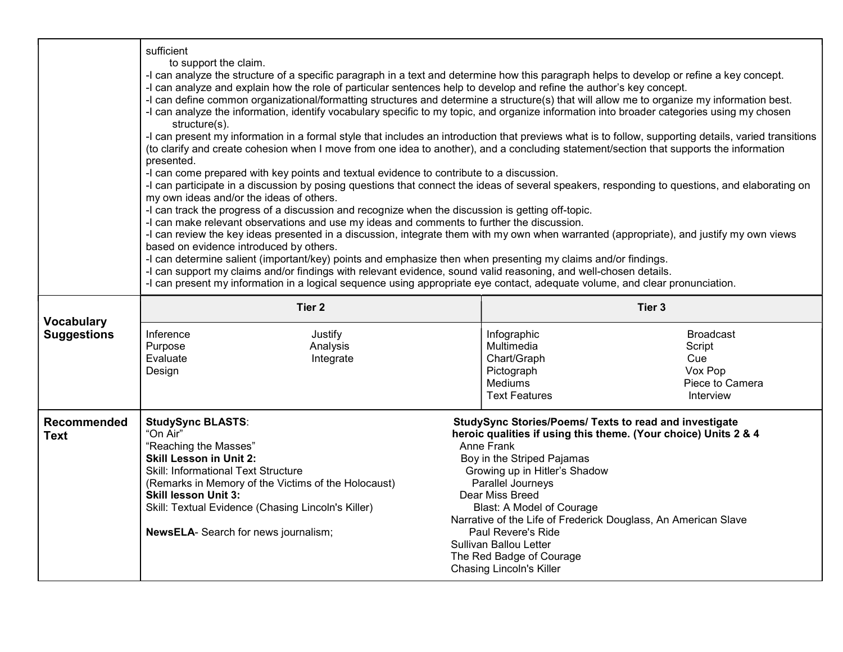|                                   | sufficient<br>to support the claim.<br>-I can analyze the structure of a specific paragraph in a text and determine how this paragraph helps to develop or refine a key concept.<br>-I can analyze and explain how the role of particular sentences help to develop and refine the author's key concept.<br>-I can define common organizational/formatting structures and determine a structure(s) that will allow me to organize my information best.<br>-I can analyze the information, identify vocabulary specific to my topic, and organize information into broader categories using my chosen<br>structure(s).<br>-I can present my information in a formal style that includes an introduction that previews what is to follow, supporting details, varied transitions<br>(to clarify and create cohesion when I move from one idea to another), and a concluding statement/section that supports the information<br>presented.<br>-I can come prepared with key points and textual evidence to contribute to a discussion.<br>-I can participate in a discussion by posing questions that connect the ideas of several speakers, responding to questions, and elaborating on<br>my own ideas and/or the ideas of others.<br>-I can track the progress of a discussion and recognize when the discussion is getting off-topic.<br>-I can make relevant observations and use my ideas and comments to further the discussion.<br>-I can review the key ideas presented in a discussion, integrate them with my own when warranted (appropriate), and justify my own views<br>based on evidence introduced by others.<br>-I can determine salient (important/key) points and emphasize then when presenting my claims and/or findings.<br>-I can support my claims and/or findings with relevant evidence, sound valid reasoning, and well-chosen details.<br>-I can present my information in a logical sequence using appropriate eye contact, adequate volume, and clear pronunciation. |                                                                                                                                                                                                                                                                                                                                                                                                                                                                     |  |
|-----------------------------------|--------------------------------------------------------------------------------------------------------------------------------------------------------------------------------------------------------------------------------------------------------------------------------------------------------------------------------------------------------------------------------------------------------------------------------------------------------------------------------------------------------------------------------------------------------------------------------------------------------------------------------------------------------------------------------------------------------------------------------------------------------------------------------------------------------------------------------------------------------------------------------------------------------------------------------------------------------------------------------------------------------------------------------------------------------------------------------------------------------------------------------------------------------------------------------------------------------------------------------------------------------------------------------------------------------------------------------------------------------------------------------------------------------------------------------------------------------------------------------------------------------------------------------------------------------------------------------------------------------------------------------------------------------------------------------------------------------------------------------------------------------------------------------------------------------------------------------------------------------------------------------------------------------------------------------------------------------------------------------------------------|---------------------------------------------------------------------------------------------------------------------------------------------------------------------------------------------------------------------------------------------------------------------------------------------------------------------------------------------------------------------------------------------------------------------------------------------------------------------|--|
| <b>Vocabulary</b>                 | Tier <sub>2</sub>                                                                                                                                                                                                                                                                                                                                                                                                                                                                                                                                                                                                                                                                                                                                                                                                                                                                                                                                                                                                                                                                                                                                                                                                                                                                                                                                                                                                                                                                                                                                                                                                                                                                                                                                                                                                                                                                                                                                                                                | Tier <sub>3</sub>                                                                                                                                                                                                                                                                                                                                                                                                                                                   |  |
| <b>Suggestions</b>                | Inference<br>Justify<br>Purpose<br>Analysis<br>Evaluate<br>Integrate<br>Design                                                                                                                                                                                                                                                                                                                                                                                                                                                                                                                                                                                                                                                                                                                                                                                                                                                                                                                                                                                                                                                                                                                                                                                                                                                                                                                                                                                                                                                                                                                                                                                                                                                                                                                                                                                                                                                                                                                   | Infographic<br><b>Broadcast</b><br>Multimedia<br>Script<br>Chart/Graph<br>Cue<br>Pictograph<br>Vox Pop<br><b>Mediums</b><br>Piece to Camera<br><b>Text Features</b><br>Interview                                                                                                                                                                                                                                                                                    |  |
| <b>Recommended</b><br><b>Text</b> | <b>StudySync BLASTS:</b><br>"On Air"<br>"Reaching the Masses"<br><b>Skill Lesson in Unit 2:</b><br>Skill: Informational Text Structure<br>(Remarks in Memory of the Victims of the Holocaust)<br><b>Skill lesson Unit 3:</b><br>Skill: Textual Evidence (Chasing Lincoln's Killer)<br><b>NewsELA-</b> Search for news journalism;                                                                                                                                                                                                                                                                                                                                                                                                                                                                                                                                                                                                                                                                                                                                                                                                                                                                                                                                                                                                                                                                                                                                                                                                                                                                                                                                                                                                                                                                                                                                                                                                                                                                | StudySync Stories/Poems/ Texts to read and investigate<br>heroic qualities if using this theme. (Your choice) Units 2 & 4<br>Anne Frank<br>Boy in the Striped Pajamas<br>Growing up in Hitler's Shadow<br>Parallel Journeys<br>Dear Miss Breed<br>Blast: A Model of Courage<br>Narrative of the Life of Frederick Douglass, An American Slave<br>Paul Revere's Ride<br><b>Sullivan Ballou Letter</b><br>The Red Badge of Courage<br><b>Chasing Lincoln's Killer</b> |  |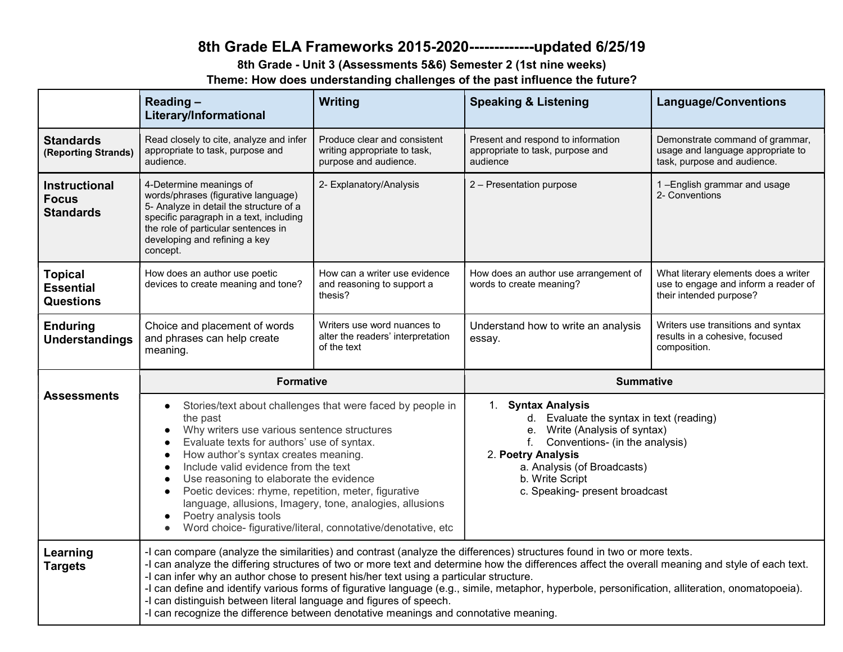# 8th Grade ELA Frameworks 2015-2020-------------updated 6/25/19

8th Grade - Unit 3 (Assessments 5&6) Semester 2 (1st nine weeks)

Theme: How does understanding challenges of the past influence the future?

|                                                          | Reading-<br>Literary/Informational                                                                                                                                                                                                                                                                                                                                                                                                                                                                                                                                                                                                                                                       | Writing                                                                               | <b>Speaking &amp; Listening</b>                                                                                                                                                                                                                   | <b>Language/Conventions</b>                                                                             |
|----------------------------------------------------------|------------------------------------------------------------------------------------------------------------------------------------------------------------------------------------------------------------------------------------------------------------------------------------------------------------------------------------------------------------------------------------------------------------------------------------------------------------------------------------------------------------------------------------------------------------------------------------------------------------------------------------------------------------------------------------------|---------------------------------------------------------------------------------------|---------------------------------------------------------------------------------------------------------------------------------------------------------------------------------------------------------------------------------------------------|---------------------------------------------------------------------------------------------------------|
| <b>Standards</b><br>(Reporting Strands)                  | Read closely to cite, analyze and infer<br>appropriate to task, purpose and<br>audience.                                                                                                                                                                                                                                                                                                                                                                                                                                                                                                                                                                                                 | Produce clear and consistent<br>writing appropriate to task,<br>purpose and audience. | Present and respond to information<br>appropriate to task, purpose and<br>audience                                                                                                                                                                | Demonstrate command of grammar,<br>usage and language appropriate to<br>task, purpose and audience.     |
| <b>Instructional</b><br><b>Focus</b><br><b>Standards</b> | 4-Determine meanings of<br>words/phrases (figurative language)<br>5- Analyze in detail the structure of a<br>specific paragraph in a text, including<br>the role of particular sentences in<br>developing and refining a key<br>concept.                                                                                                                                                                                                                                                                                                                                                                                                                                                 | 2- Explanatory/Analysis                                                               | 2 - Presentation purpose                                                                                                                                                                                                                          | 1-English grammar and usage<br>2- Conventions                                                           |
| <b>Topical</b><br><b>Essential</b><br><b>Questions</b>   | How does an author use poetic<br>devices to create meaning and tone?                                                                                                                                                                                                                                                                                                                                                                                                                                                                                                                                                                                                                     | How can a writer use evidence<br>and reasoning to support a<br>thesis?                | How does an author use arrangement of<br>words to create meaning?                                                                                                                                                                                 | What literary elements does a writer<br>use to engage and inform a reader of<br>their intended purpose? |
| <b>Enduring</b><br><b>Understandings</b>                 | Choice and placement of words<br>and phrases can help create<br>meaning.                                                                                                                                                                                                                                                                                                                                                                                                                                                                                                                                                                                                                 | Writers use word nuances to<br>alter the readers' interpretation<br>of the text       | Understand how to write an analysis<br>essay.                                                                                                                                                                                                     | Writers use transitions and syntax<br>results in a cohesive, focused<br>composition.                    |
|                                                          | <b>Formative</b>                                                                                                                                                                                                                                                                                                                                                                                                                                                                                                                                                                                                                                                                         |                                                                                       | <b>Summative</b>                                                                                                                                                                                                                                  |                                                                                                         |
| <b>Assessments</b>                                       | Stories/text about challenges that were faced by people in<br>$\bullet$<br>the past<br>Why writers use various sentence structures<br>Evaluate texts for authors' use of syntax.<br>How author's syntax creates meaning.<br>Include valid evidence from the text<br>Use reasoning to elaborate the evidence<br>Poetic devices: rhyme, repetition, meter, figurative<br>language, allusions, Imagery, tone, analogies, allusions<br>Poetry analysis tools<br>$\bullet$<br>Word choice- figurative/literal, connotative/denotative, etc<br>$\bullet$                                                                                                                                       |                                                                                       | 1. Syntax Analysis<br>d. Evaluate the syntax in text (reading)<br>e. Write (Analysis of syntax)<br>Conventions- (in the analysis)<br>f.<br>2. Poetry Analysis<br>a. Analysis (of Broadcasts)<br>b. Write Script<br>c. Speaking- present broadcast |                                                                                                         |
| Learning<br><b>Targets</b>                               | -I can compare (analyze the similarities) and contrast (analyze the differences) structures found in two or more texts.<br>-I can analyze the differing structures of two or more text and determine how the differences affect the overall meaning and style of each text.<br>-I can infer why an author chose to present his/her text using a particular structure.<br>-I can define and identify various forms of figurative language (e.g., simile, metaphor, hyperbole, personification, alliteration, onomatopoeia).<br>-I can distinguish between literal language and figures of speech.<br>-I can recognize the difference between denotative meanings and connotative meaning. |                                                                                       |                                                                                                                                                                                                                                                   |                                                                                                         |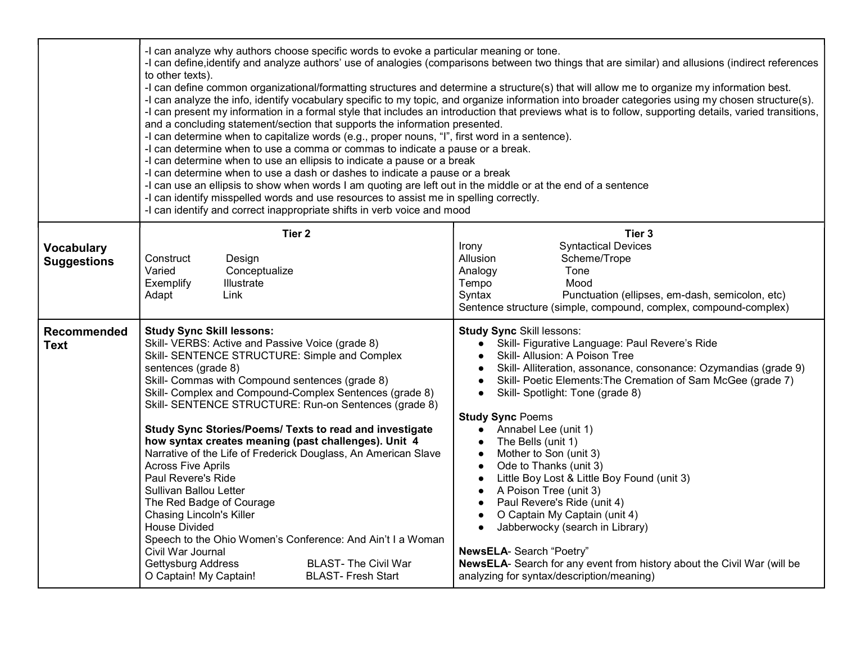|                                         | -I can analyze why authors choose specific words to evoke a particular meaning or tone.<br>-I can define, identify and analyze authors' use of analogies (comparisons between two things that are similar) and allusions (indirect references<br>to other texts).<br>-I can define common organizational/formatting structures and determine a structure(s) that will allow me to organize my information best.<br>-I can analyze the info, identify vocabulary specific to my topic, and organize information into broader categories using my chosen structure(s).<br>-I can present my information in a formal style that includes an introduction that previews what is to follow, supporting details, varied transitions,<br>and a concluding statement/section that supports the information presented.<br>-I can determine when to capitalize words (e.g., proper nouns, "I", first word in a sentence).<br>-I can determine when to use a comma or commas to indicate a pause or a break.<br>-I can determine when to use an ellipsis to indicate a pause or a break<br>-I can determine when to use a dash or dashes to indicate a pause or a break<br>-I can use an ellipsis to show when words I am quoting are left out in the middle or at the end of a sentence<br>-I can identify misspelled words and use resources to assist me in spelling correctly.<br>-I can identify and correct inappropriate shifts in verb voice and mood |                                                                                                                                                                                                                                                                                                                                                                                                                                                                                                                                                                                                                                                                                                                                                                                       |  |  |
|-----------------------------------------|----------------------------------------------------------------------------------------------------------------------------------------------------------------------------------------------------------------------------------------------------------------------------------------------------------------------------------------------------------------------------------------------------------------------------------------------------------------------------------------------------------------------------------------------------------------------------------------------------------------------------------------------------------------------------------------------------------------------------------------------------------------------------------------------------------------------------------------------------------------------------------------------------------------------------------------------------------------------------------------------------------------------------------------------------------------------------------------------------------------------------------------------------------------------------------------------------------------------------------------------------------------------------------------------------------------------------------------------------------------------------------------------------------------------------------------------------|---------------------------------------------------------------------------------------------------------------------------------------------------------------------------------------------------------------------------------------------------------------------------------------------------------------------------------------------------------------------------------------------------------------------------------------------------------------------------------------------------------------------------------------------------------------------------------------------------------------------------------------------------------------------------------------------------------------------------------------------------------------------------------------|--|--|
| <b>Vocabulary</b><br><b>Suggestions</b> | Tier 2<br>Construct<br>Design<br>Varied<br>Conceptualize<br>Exemplify<br>Illustrate<br>Link<br>Adapt                                                                                                                                                                                                                                                                                                                                                                                                                                                                                                                                                                                                                                                                                                                                                                                                                                                                                                                                                                                                                                                                                                                                                                                                                                                                                                                                               | Tier 3<br><b>Syntactical Devices</b><br>Irony<br>Allusion<br>Scheme/Trope<br>Tone<br>Analogy<br>Tempo<br>Mood<br>Syntax<br>Punctuation (ellipses, em-dash, semicolon, etc)<br>Sentence structure (simple, compound, complex, compound-complex)                                                                                                                                                                                                                                                                                                                                                                                                                                                                                                                                        |  |  |
| Recommended<br><b>Text</b>              | <b>Study Sync Skill lessons:</b><br>Skill- VERBS: Active and Passive Voice (grade 8)<br>Skill- SENTENCE STRUCTURE: Simple and Complex<br>sentences (grade 8)<br>Skill- Commas with Compound sentences (grade 8)<br>Skill- Complex and Compound-Complex Sentences (grade 8)<br>Skill- SENTENCE STRUCTURE: Run-on Sentences (grade 8)<br>Study Sync Stories/Poems/ Texts to read and investigate<br>how syntax creates meaning (past challenges). Unit 4<br>Narrative of the Life of Frederick Douglass, An American Slave<br><b>Across Five Aprils</b><br>Paul Revere's Ride<br>Sullivan Ballou Letter<br>The Red Badge of Courage<br><b>Chasing Lincoln's Killer</b><br><b>House Divided</b><br>Speech to the Ohio Women's Conference: And Ain't I a Woman<br>Civil War Journal<br><b>BLAST- The Civil War</b><br>Gettysburg Address<br>O Captain! My Captain!<br><b>BLAST- Fresh Start</b>                                                                                                                                                                                                                                                                                                                                                                                                                                                                                                                                                        | <b>Study Sync Skill lessons:</b><br>Skill- Figurative Language: Paul Revere's Ride<br>$\bullet$<br>Skill- Allusion: A Poison Tree<br>Skill- Alliteration, assonance, consonance: Ozymandias (grade 9)<br>Skill- Poetic Elements: The Cremation of Sam McGee (grade 7)<br>Skill- Spotlight: Tone (grade 8)<br>$\bullet$<br><b>Study Sync Poems</b><br>• Annabel Lee (unit 1)<br>The Bells (unit 1)<br>Mother to Son (unit 3)<br>Ode to Thanks (unit 3)<br>Little Boy Lost & Little Boy Found (unit 3)<br>A Poison Tree (unit 3)<br>Paul Revere's Ride (unit 4)<br>O Captain My Captain (unit 4)<br>Jabberwocky (search in Library)<br>NewsELA- Search "Poetry"<br>NewsELA- Search for any event from history about the Civil War (will be<br>analyzing for syntax/description/meaning) |  |  |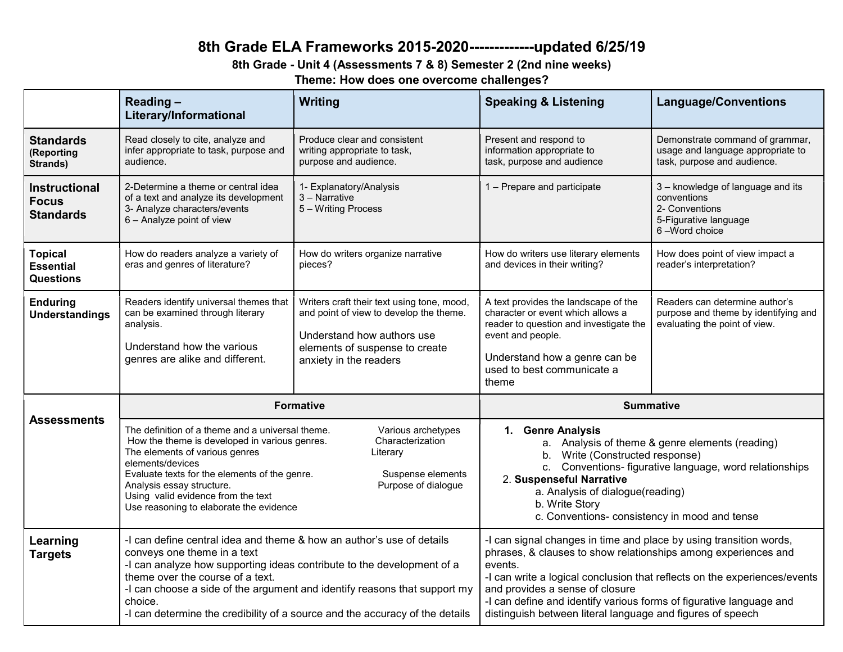# 8th Grade ELA Frameworks 2015-2020-------------updated 6/25/19

## 8th Grade - Unit 4 (Assessments 7 & 8) Semester 2 (2nd nine weeks)

Theme: How does one overcome challenges?

|                                                          | Reading-<br>Literary/Informational                                                                                                                                                                                                                                                                                                                                                                                       | Writing                                                                                                                                                                         | <b>Speaking &amp; Listening</b>                                                                                                                                                                                                                                                                                                                                                                      | <b>Language/Conventions</b>                                                                                  |
|----------------------------------------------------------|--------------------------------------------------------------------------------------------------------------------------------------------------------------------------------------------------------------------------------------------------------------------------------------------------------------------------------------------------------------------------------------------------------------------------|---------------------------------------------------------------------------------------------------------------------------------------------------------------------------------|------------------------------------------------------------------------------------------------------------------------------------------------------------------------------------------------------------------------------------------------------------------------------------------------------------------------------------------------------------------------------------------------------|--------------------------------------------------------------------------------------------------------------|
| <b>Standards</b><br>(Reporting<br>Strands)               | Read closely to cite, analyze and<br>infer appropriate to task, purpose and<br>audience.                                                                                                                                                                                                                                                                                                                                 | Produce clear and consistent<br>writing appropriate to task,<br>purpose and audience.                                                                                           | Present and respond to<br>information appropriate to<br>task, purpose and audience                                                                                                                                                                                                                                                                                                                   | Demonstrate command of grammar,<br>usage and language appropriate to<br>task, purpose and audience.          |
| <b>Instructional</b><br><b>Focus</b><br><b>Standards</b> | 2-Determine a theme or central idea<br>of a text and analyze its development<br>3- Analyze characters/events<br>6 - Analyze point of view                                                                                                                                                                                                                                                                                | 1- Explanatory/Analysis<br>3 – Narrative<br>5 - Writing Process                                                                                                                 | 1 - Prepare and participate                                                                                                                                                                                                                                                                                                                                                                          | 3 - knowledge of language and its<br>conventions<br>2- Conventions<br>5-Figurative language<br>6-Word choice |
| <b>Topical</b><br><b>Essential</b><br><b>Questions</b>   | How do readers analyze a variety of<br>eras and genres of literature?                                                                                                                                                                                                                                                                                                                                                    | How do writers organize narrative<br>pieces?                                                                                                                                    | How do writers use literary elements<br>and devices in their writing?                                                                                                                                                                                                                                                                                                                                | How does point of view impact a<br>reader's interpretation?                                                  |
| <b>Enduring</b><br><b>Understandings</b>                 | Readers identify universal themes that<br>can be examined through literary<br>analysis.<br>Understand how the various<br>genres are alike and different.                                                                                                                                                                                                                                                                 | Writers craft their text using tone, mood,<br>and point of view to develop the theme.<br>Understand how authors use<br>elements of suspense to create<br>anxiety in the readers | A text provides the landscape of the<br>character or event which allows a<br>reader to question and investigate the<br>event and people.<br>Understand how a genre can be<br>used to best communicate a<br>theme                                                                                                                                                                                     | Readers can determine author's<br>purpose and theme by identifying and<br>evaluating the point of view.      |
|                                                          | <b>Formative</b>                                                                                                                                                                                                                                                                                                                                                                                                         |                                                                                                                                                                                 | <b>Summative</b>                                                                                                                                                                                                                                                                                                                                                                                     |                                                                                                              |
| <b>Assessments</b>                                       | The definition of a theme and a universal theme.<br>Various archetypes<br>Characterization<br>How the theme is developed in various genres.<br>The elements of various genres<br>Literary<br>elements/devices<br>Evaluate texts for the elements of the genre.<br>Suspense elements<br>Purpose of dialogue<br>Analysis essay structure.<br>Using valid evidence from the text<br>Use reasoning to elaborate the evidence |                                                                                                                                                                                 | 1. Genre Analysis<br>a. Analysis of theme & genre elements (reading)<br>b. Write (Constructed response)<br>c. Conventions- figurative language, word relationships<br>2. Suspenseful Narrative<br>a. Analysis of dialogue(reading)<br>b. Write Story<br>c. Conventions- consistency in mood and tense                                                                                                |                                                                                                              |
| Learning<br><b>Targets</b>                               | -I can define central idea and theme & how an author's use of details<br>conveys one theme in a text<br>-I can analyze how supporting ideas contribute to the development of a<br>theme over the course of a text.<br>-I can choose a side of the argument and identify reasons that support my<br>choice.<br>-I can determine the credibility of a source and the accuracy of the details                               |                                                                                                                                                                                 | -I can signal changes in time and place by using transition words,<br>phrases, & clauses to show relationships among experiences and<br>events.<br>-I can write a logical conclusion that reflects on the experiences/events<br>and provides a sense of closure<br>-I can define and identify various forms of figurative language and<br>distinguish between literal language and figures of speech |                                                                                                              |